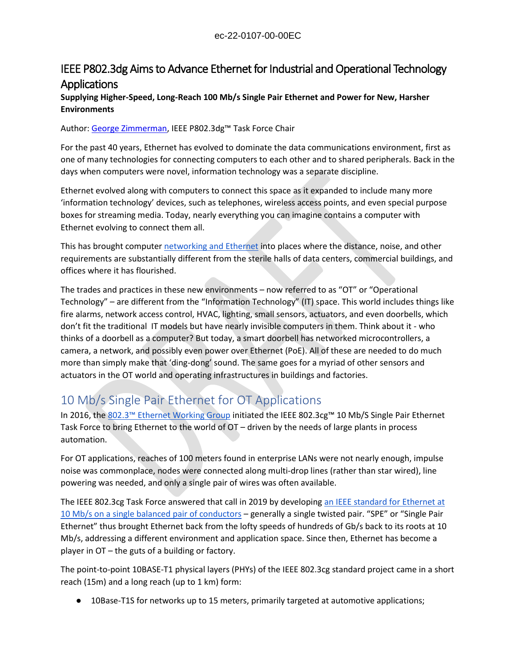### ec-22-0107-00-00EC

## IEEE P802.3dg Aims to Advance Ethernet for Industrial and Operational Technology **Applications**

### **Supplying Higher-Speed, Long-Reach 100 Mb/s Single Pair Ethernet and Power for New, Harsher Environments**

#### Author[: George Zimmerman](mailto:george@cmephyconsulting.com), IEEE P802.3dg™ Task Force Chair

For the past 40 years, Ethernet has evolved to dominate the data communications environment, first as one of many technologies for connecting computers to each other and to shared peripherals. Back in the days when computers were novel, information technology was a separate discipline.

Ethernet evolved along with computers to connect this space as it expanded to include many more 'information technology' devices, such as telephones, wireless access points, and even special purpose boxes for streaming media. Today, nearly everything you can imagine contains a computer with Ethernet evolving to connect them all.

This has brought computer [networking and Ethernet](https://beyondstandards.ieee.org/category/topic/networking-internet/) into places where the distance, noise, and other requirements are substantially different from the sterile halls of data centers, commercial buildings, and offices where it has flourished.

The trades and practices in these new environments – now referred to as "OT" or "Operational Technology" – are different from the "Information Technology" (IT) space. This world includes things like fire alarms, network access control, HVAC, lighting, small sensors, actuators, and even doorbells, which don't fit the traditional IT models but have nearly invisible computers in them. Think about it - who thinks of a doorbell as a computer? But today, a smart doorbell has networked microcontrollers, a camera, a network, and possibly even power over Ethernet (PoE). All of these are needed to do much more than simply make that 'ding-dong' sound. The same goes for a myriad of other sensors and actuators in the OT world and operating infrastructures in buildings and factories.

# 10 Mb/s Single Pair Ethernet for OT Applications

In 2016, the [802.3™ Ethernet Working Group](https://beyondstandards.ieee.org/tag/wg-ieee-802-3/) initiated the IEEE 802.3cg™ 10 Mb/S Single Pair Ethernet Task Force to bring Ethernet to the world of OT – driven by the needs of large plants in process automation.

For OT applications, reaches of 100 meters found in enterprise LANs were not nearly enough, impulse noise was commonplace, nodes were connected along multi-drop lines (rather than star wired), line powering was needed, and only a single pair of wires was often available.

The IEEE 802.3cg Task Force answered that call in 2019 by developing [an IEEE standard for Ethernet at](https://standards.ieee.org/ieee/802.3cg/7308/?utm_source=beyondstandards&utm_medium=post&utm_campaign=working-group-2022&utm_content=802)  [10 Mb/s on a single balanced pair of conductors](https://standards.ieee.org/ieee/802.3cg/7308/?utm_source=beyondstandards&utm_medium=post&utm_campaign=working-group-2022&utm_content=802) – generally a single twisted pair. "SPE" or "Single Pair Ethernet" thus brought Ethernet back from the lofty speeds of hundreds of Gb/s back to its roots at 10 Mb/s, addressing a different environment and application space. Since then, Ethernet has become a player in OT – the guts of a building or factory.

The point-to-point 10BASE-T1 physical layers (PHYs) of the IEEE 802.3cg standard project came in a short reach (15m) and a long reach (up to 1 km) form:

● 10Base-T1S for networks up to 15 meters, primarily targeted at automotive applications;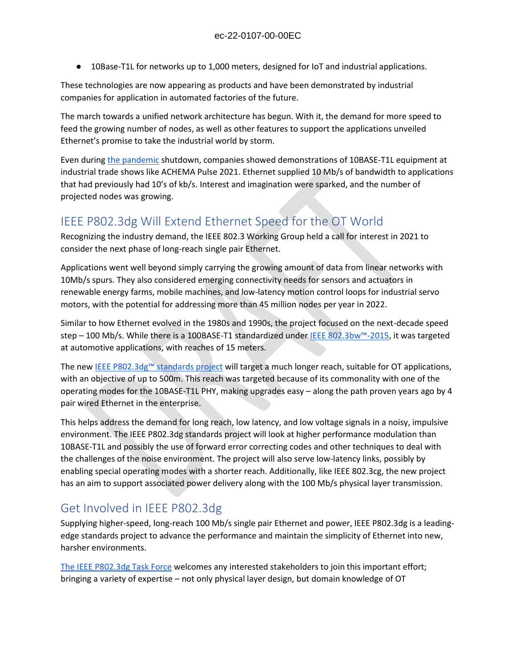● 10Base-T1L for networks up to 1,000 meters, designed for IoT and industrial applications.

These technologies are now appearing as products and have been demonstrated by industrial companies for application in automated factories of the future.

The march towards a unified network architecture has begun. With it, the demand for more speed to feed the growing number of nodes, as well as other features to support the applications unveiled Ethernet's promise to take the industrial world by storm.

Even durin[g the pandemic](https://beyondstandards.ieee.org/category/topic/covid-19/) shutdown, companies showed demonstrations of 10BASE-T1L equipment at industrial trade shows like ACHEMA Pulse 2021. Ethernet supplied 10 Mb/s of bandwidth to applications that had previously had 10's of kb/s. Interest and imagination were sparked, and the number of projected nodes was growing.

## IEEE P802.3dg Will Extend Ethernet Speed for the OT World

Recognizing the industry demand, the IEEE 802.3 Working Group held a call for interest in 2021 to consider the next phase of long-reach single pair Ethernet.

Applications went well beyond simply carrying the growing amount of data from linear networks with 10Mb/s spurs. They also considered emerging connectivity needs for sensors and actuators in renewable energy farms, mobile machines, and low-latency motion control loops for industrial servo motors, with the potential for addressing more than 45 million nodes per year in 2022.

Similar to how Ethernet evolved in the 1980s and 1990s, the project focused on the next-decade speed step – 100 Mb/s. While there is a 100BASE-T1 standardized under [IEEE 802.3bw™](https://standards.ieee.org/ieee/802.3bw/5969/?utm_source=beyondstandards&utm_medium=post&utm_campaign=working-group-2022&utm_content=802)-2015, it was targeted at automotive applications, with reaches of 15 meters.

The new [IEEE P802.3dg™ standards p](https://standards.ieee.org/ieee/802.3dg/10880/?utm_source=beyondstandards&utm_medium=post&utm_campaign=working-group-2022&utm_content=802)roject will target a much longer reach, suitable for OT applications, with an objective of up to 500m. This reach was targeted because of its commonality with one of the operating modes for the 10BASE-T1L PHY, making upgrades easy – along the path proven years ago by 4 pair wired Ethernet in the enterprise.

This helps address the demand for long reach, low latency, and low voltage signals in a noisy, impulsive environment. The IEEE P802.3dg standards project will look at higher performance modulation than 10BASE-T1L and possibly the use of forward error correcting codes and other techniques to deal with the challenges of the noise environment. The project will also serve low-latency links, possibly by enabling special operating modes with a shorter reach. Additionally, like IEEE 802.3cg, the new project has an aim to support associated power delivery along with the 100 Mb/s physical layer transmission.

# Get Involved in IEEE P802.3dg

Supplying higher-speed, long-reach 100 Mb/s single pair Ethernet and power, IEEE P802.3dg is a leadingedge standards project to advance the performance and maintain the simplicity of Ethernet into new, harsher environments.

[The IEEE P802.3dg Task Force](https://www.ieee802.org/3/dg/) welcomes any interested stakeholders to join this important effort; bringing a variety of expertise – not only physical layer design, but domain knowledge of OT